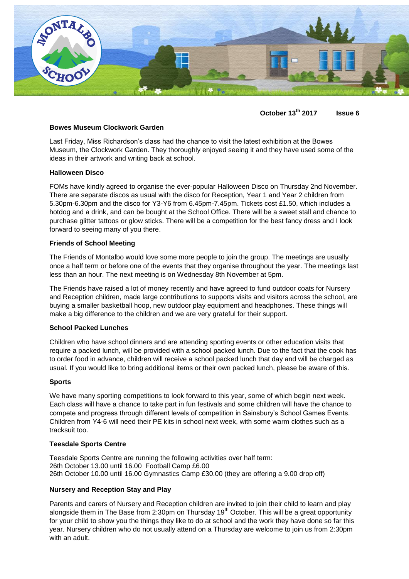

**October 13th 2017 Issue 6**

# **Bowes Museum Clockwork Garden**

Last Friday, Miss Richardson's class had the chance to visit the latest exhibition at the Bowes Museum, the Clockwork Garden. They thoroughly enjoyed seeing it and they have used some of the ideas in their artwork and writing back at school.

## **Halloween Disco**

FOMs have kindly agreed to organise the ever-popular Halloween Disco on Thursday 2nd November. There are separate discos as usual with the disco for Reception, Year 1 and Year 2 children from 5.30pm-6.30pm and the disco for Y3-Y6 from 6.45pm-7.45pm. Tickets cost £1.50, which includes a hotdog and a drink, and can be bought at the School Office. There will be a sweet stall and chance to purchase glitter tattoos or glow sticks. There will be a competition for the best fancy dress and I look forward to seeing many of you there.

## **Friends of School Meeting**

The Friends of Montalbo would love some more people to join the group. The meetings are usually once a half term or before one of the events that they organise throughout the year. The meetings last less than an hour. The next meeting is on Wednesday 8th November at 5pm.

The Friends have raised a lot of money recently and have agreed to fund outdoor coats for Nursery and Reception children, made large contributions to supports visits and visitors across the school, are buying a smaller basketball hoop, new outdoor play equipment and headphones. These things will make a big difference to the children and we are very grateful for their support.

## **School Packed Lunches**

Children who have school dinners and are attending sporting events or other education visits that require a packed lunch, will be provided with a school packed lunch. Due to the fact that the cook has to order food in advance, children will receive a school packed lunch that day and will be charged as usual. If you would like to bring additional items or their own packed lunch, please be aware of this.

### **Sports**

We have many sporting competitions to look forward to this year, some of which begin next week. Each class will have a chance to take part in fun festivals and some children will have the chance to compete and progress through different levels of competition in Sainsbury's School Games Events. Children from Y4-6 will need their PE kits in school next week, with some warm clothes such as a tracksuit too.

### **Teesdale Sports Centre**

Teesdale Sports Centre are running the following activities over half term: 26th October 13.00 until 16.00 Football Camp £6.00 26th October 10.00 until 16.00 Gymnastics Camp £30.00 (they are offering a 9.00 drop off)

## **Nursery and Reception Stay and Play**

Parents and carers of Nursery and Reception children are invited to join their child to learn and play alongside them in The Base from 2:30pm on Thursday  $19<sup>th</sup>$  October. This will be a great opportunity for your child to show you the things they like to do at school and the work they have done so far this year. Nursery children who do not usually attend on a Thursday are welcome to join us from 2:30pm with an adult.